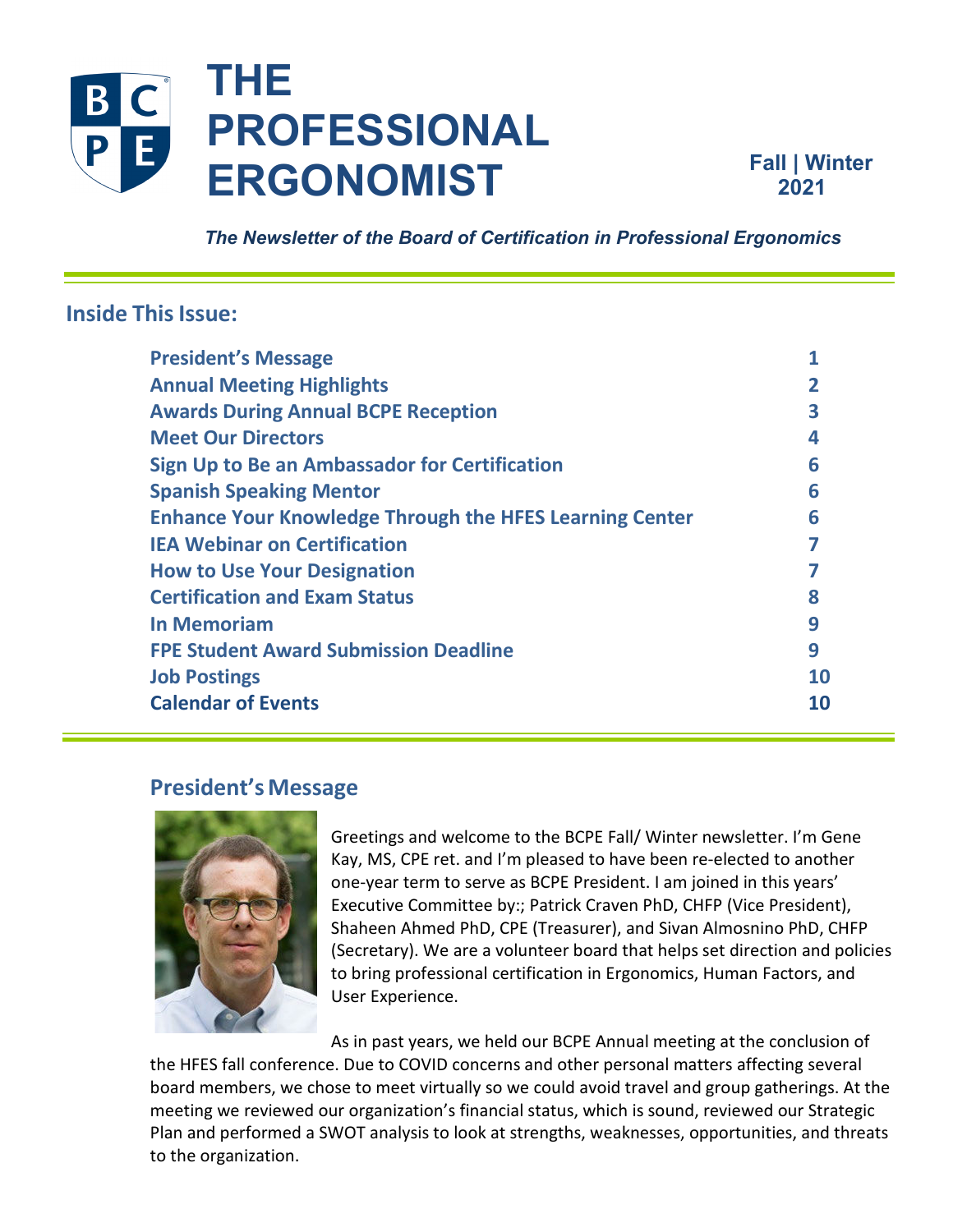

**Fall | Winter 2021** 

 *The Newsletter of the Board of Certification in Professional Ergonomics*

# **Inside This Issue:**

| <b>President's Message</b>                                     |    |
|----------------------------------------------------------------|----|
| <b>Annual Meeting Highlights</b>                               |    |
| <b>Awards During Annual BCPE Reception</b>                     |    |
| <b>Meet Our Directors</b>                                      | 4  |
| Sign Up to Be an Ambassador for Certification                  | 6  |
| <b>Spanish Speaking Mentor</b>                                 | 6  |
| <b>Enhance Your Knowledge Through the HFES Learning Center</b> | 6  |
| <b>IEA Webinar on Certification</b>                            |    |
| <b>How to Use Your Designation</b>                             |    |
| <b>Certification and Exam Status</b>                           |    |
| <b>In Memoriam</b>                                             | q  |
| <b>FPE Student Award Submission Deadline</b>                   | 9  |
| <b>Job Postings</b>                                            | 10 |
| <b>Calendar of Events</b>                                      | 10 |
|                                                                |    |

# <span id="page-0-0"></span>**President's Message**



Greetings and welcome to the BCPE Fall/ Winter newsletter. I'm Gene Kay, MS, CPE ret. and I'm pleased to have been re-elected to another one-year term to serve as BCPE President. I am joined in this years' Executive Committee by:; Patrick Craven PhD, CHFP (Vice President), Shaheen Ahmed PhD, CPE (Treasurer), and Sivan Almosnino PhD, CHFP (Secretary). We are a volunteer board that helps set direction and policies to bring professional certification in Ergonomics, Human Factors, and User Experience.

As in past years, we held our BCPE Annual meeting at the conclusion of the HFES fall conference. Due to COVID concerns and other personal matters affecting several board members, we chose to meet virtually so we could avoid travel and group gatherings. At the meeting we reviewed our organization's financial status, which is sound, reviewed our Strategic Plan and performed a SWOT analysis to look at strengths, weaknesses, opportunities, and threats to the organization.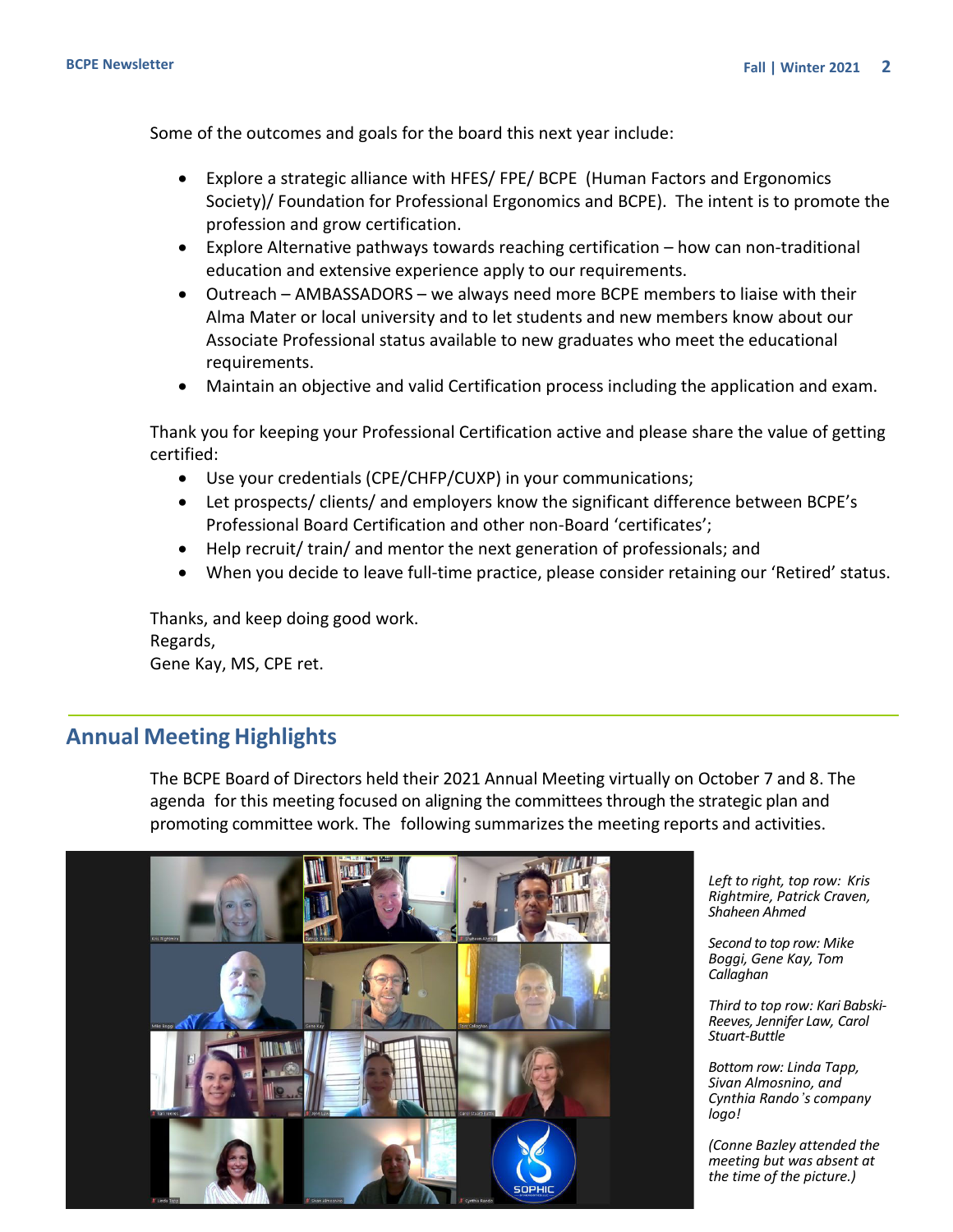<span id="page-1-0"></span>Some of the outcomes and goals for the board this next year include:

- Explore a strategic alliance with HFES/ FPE/ BCPE (Human Factors and Ergonomics Society)/ Foundation for Professional Ergonomics and BCPE). The intent is to promote the profession and grow certification.
- Explore Alternative pathways towards reaching certification how can non-traditional education and extensive experience apply to our requirements.
- Outreach AMBASSADORS we always need more BCPE members to liaise with their Alma Mater or local university and to let students and new members know about our Associate Professional status available to new graduates who meet the educational requirements.
- Maintain an objective and valid Certification process including the application and exam.

Thank you for keeping your Professional Certification active and please share the value of getting certified:

- Use your credentials (CPE/CHFP/CUXP) in your communications;
- Let prospects/ clients/ and employers know the significant difference between BCPE's Professional Board Certification and other non-Board 'certificates';
- Help recruit/ train/ and mentor the next generation of professionals; and
- When you decide to leave full-time practice, please consider retaining our 'Retired' status.

Thanks, and keep doing good work. Regards, Gene Kay, MS, CPE ret.

# **Annual Meeting Highlights**

The BCPE Board of Directors held their 2021 Annual Meeting virtually on October 7 and 8. The agenda for this meeting focused on aligning the committees through the strategic plan and promoting committee work. The following summarizesthe meeting reports and activities.



*Left to right, top row: Kris Rightmire, Patrick Craven, Shaheen Ahmed* 

*Second to top row: Mike Boggi, Gene Kay, Tom Callaghan* 

*Third to top row: Kari Babski-Reeves, Jennifer Law, Carol Stuart-Buttle*

*Bottom row: Linda Tapp, Sivan Almosnino, and Cynthia Rando's company logo!*

*(Conne Bazley attended the meeting but was absent at the time of the picture.)*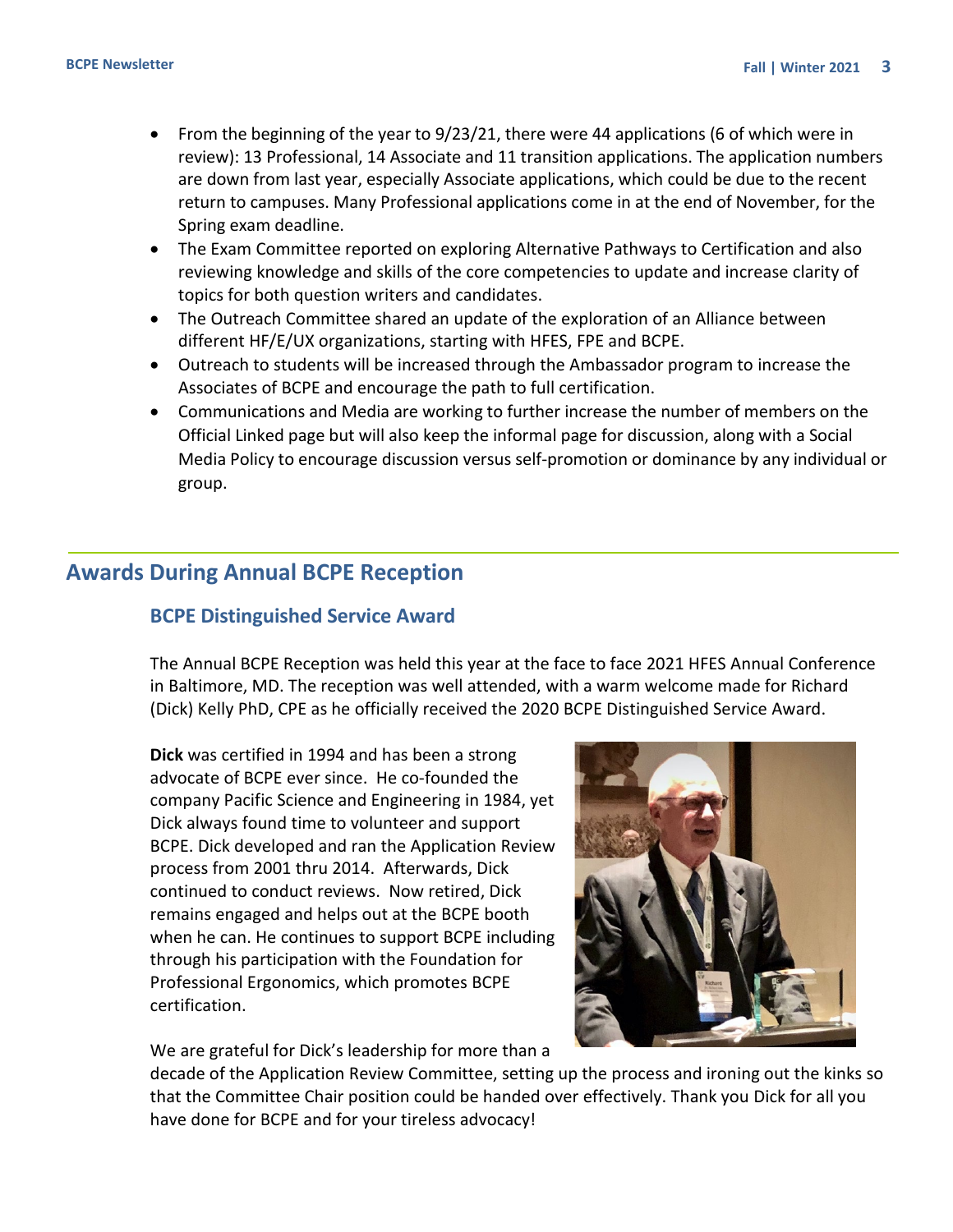- <span id="page-2-0"></span>• From the beginning of the year to 9/23/21, there were 44 applications (6 of which were in review): 13 Professional, 14 Associate and 11 transition applications. The application numbers are down from last year, especially Associate applications, which could be due to the recent return to campuses. Many Professional applications come in at the end of November, for the Spring exam deadline.
- The Exam Committee reported on exploring Alternative Pathways to Certification and also reviewing knowledge and skills of the core competencies to update and increase clarity of topics for both question writers and candidates.
- The Outreach Committee shared an update of the exploration of an Alliance between different HF/E/UX organizations, starting with HFES, FPE and BCPE.
- Outreach to students will be increased through the Ambassador program to increase the Associates of BCPE and encourage the path to full certification.
- Communications and Media are working to further increase the number of members on the Official Linked page but will also keep the informal page for discussion, along with a Social Media Policy to encourage discussion versus self-promotion or dominance by any individual or group.

# **Awards During Annual BCPE Reception**

## **BCPE Distinguished Service Award**

The Annual BCPE Reception was held this year at the face to face 2021 HFES Annual Conference in Baltimore, MD. The reception was well attended, with a warm welcome made for Richard (Dick) Kelly PhD, CPE as he officially received the 2020 BCPE Distinguished Service Award.

**Dick** was certified in 1994 and has been a strong advocate of BCPE ever since. He co-founded the company Pacific Science and Engineering in 1984, yet Dick always found time to volunteer and support BCPE. Dick developed and ran the Application Review process from 2001 thru 2014. Afterwards, Dick continued to conduct reviews. Now retired, Dick remains engaged and helps out at the BCPE booth when he can. He continues to support BCPE including through his participation with the Foundation for Professional Ergonomics, which promotes BCPE certification.

We are grateful for Dick's leadership for more than a



decade of the Application Review Committee, setting up the process and ironing out the kinks so that the Committee Chair position could be handed over effectively. Thank you Dick for all you have done for BCPE and for your tireless advocacy!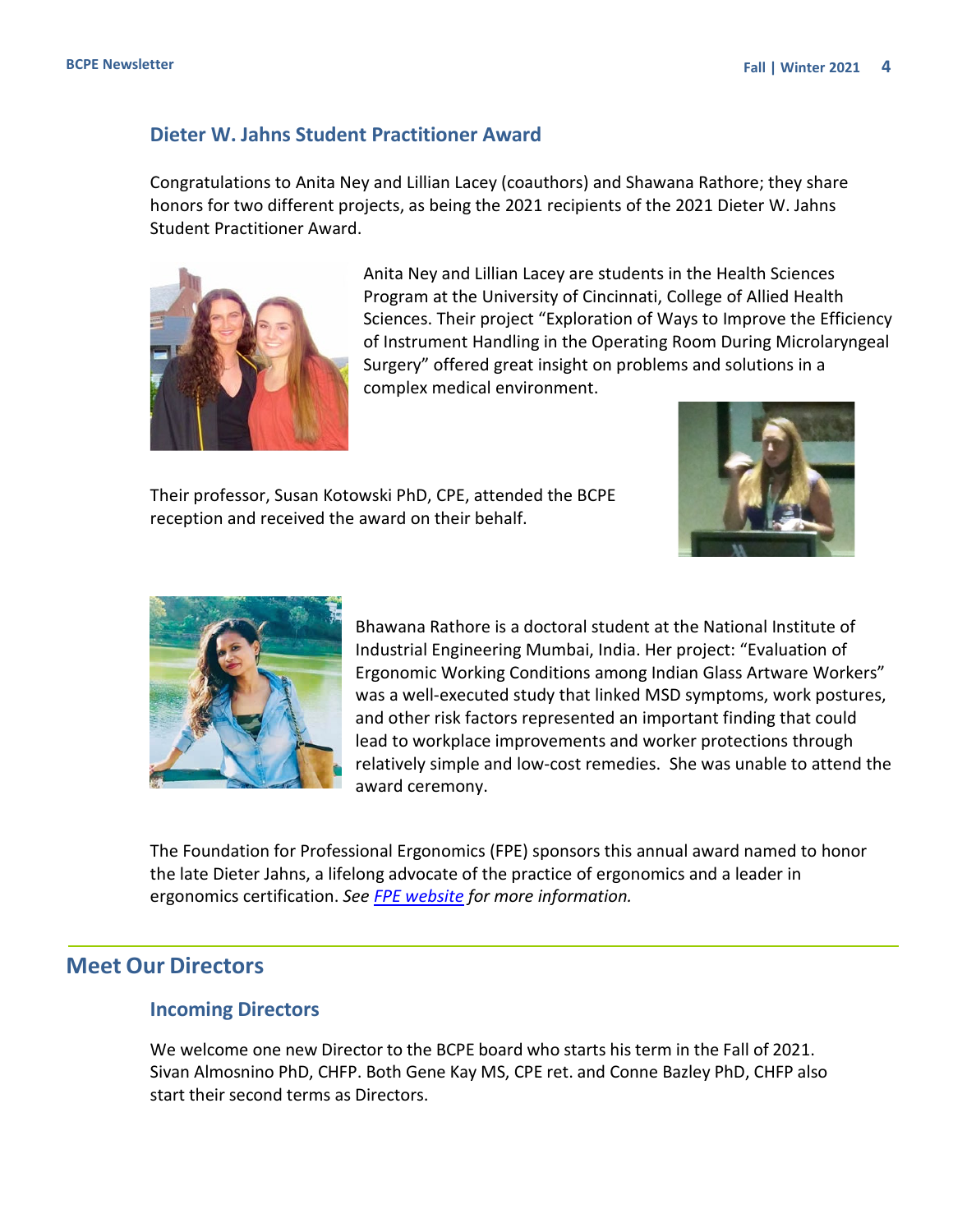#### **Dieter W. Jahns Student Practitioner Award**

Congratulations to Anita Ney and Lillian Lacey (coauthors) and Shawana Rathore; they share honors for two different projects, as being the 2021 recipients of the 2021 Dieter W. Jahns Student Practitioner Award.



Anita Ney and Lillian Lacey are students in the Health Sciences Program at the University of Cincinnati, College of Allied Health Sciences. Their project "Exploration of Ways to Improve the Efficiency of Instrument Handling in the Operating Room During Microlaryngeal Surgery" offered great insight on problems and solutions in a complex medical environment.

Their professor, Susan Kotowski PhD, CPE, attended the BCPE reception and received the award on their behalf.





Bhawana Rathore is a doctoral student at the National Institute of Industrial Engineering Mumbai, India. Her project: "Evaluation of Ergonomic Working Conditions among Indian Glass Artware Workers" was a well-executed study that linked MSD symptoms, work postures, and other risk factors represented an important finding that could lead to workplace improvements and worker protections through relatively simple and low-cost remedies. She was unable to attend the award ceremony.

The Foundation for Professional Ergonomics (FPE) sponsors this annual award named to honor the late Dieter Jahns, a lifelong advocate of the practice of ergonomics and a leader in ergonomics certification. *See [FPE website](https://www.ergofoundation.org/) for more information.*

# **Meet Our Directors**

#### **Incoming Directors**

We welcome one new Director to the BCPE board who starts his term in the Fall of 2021. Sivan Almosnino PhD, CHFP. Both Gene Kay MS, CPE ret. and Conne Bazley PhD, CHFP also start their second terms as Directors.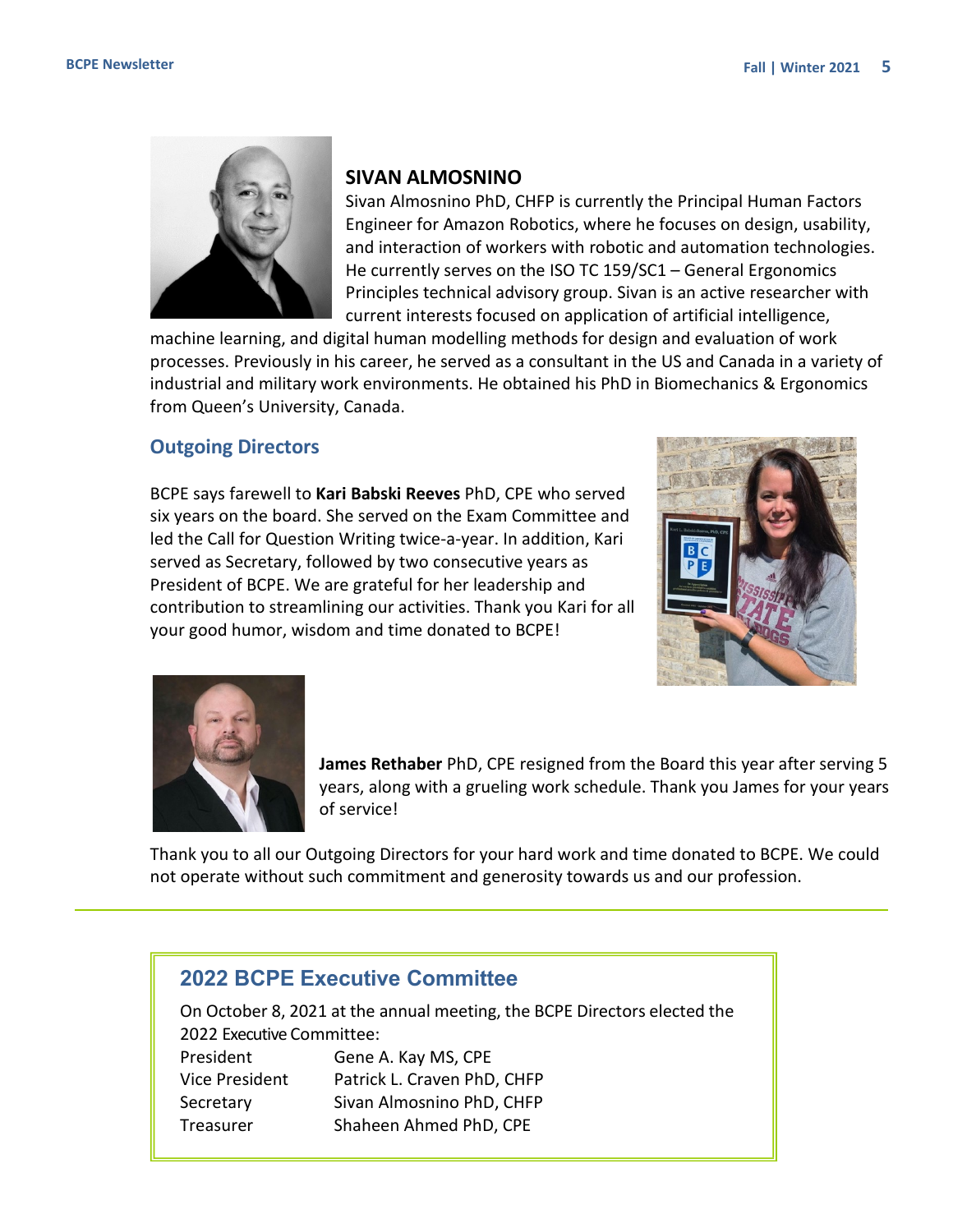<span id="page-4-0"></span>

### **SIVAN ALMOSNINO**

Sivan Almosnino PhD, CHFP is currently the Principal Human Factors Engineer for Amazon Robotics, where he focuses on design, usability, and interaction of workers with robotic and automation technologies. He currently serves on the ISO TC 159/SC1 – General Ergonomics Principles technical advisory group. Sivan is an active researcher with current interests focused on application of artificial intelligence,

machine learning, and digital human modelling methods for design and evaluation of work processes. Previously in his career, he served as a consultant in the US and Canada in a variety of industrial and military work environments. He obtained his PhD in Biomechanics & Ergonomics from Queen's University, Canada.

#### **Outgoing Directors**

BCPE says farewell to **Kari Babski Reeves** PhD, CPE who served six years on the board. She served on the Exam Committee and led the Call for Question Writing twice-a-year. In addition, Kari served as Secretary, followed by two consecutive years as President of BCPE. We are grateful for her leadership and contribution to streamlining our activities. Thank you Kari for all your good humor, wisdom and time donated to BCPE!





**James Rethaber** PhD, CPE resigned from the Board this year after serving 5 years, along with a grueling work schedule. Thank you James for your years of service!

Thank you to all our Outgoing Directors for your hard work and time donated to BCPE. We could not operate without such commitment and generosity towards us and our profession.

# **2022 BCPE Executive Committee**

On October 8, 2021 at the annual meeting, the BCPE Directors elected the 2022 Executive Committee: President Gene A. Kay MS, CPE Vice President Patrick L. Craven PhD, CHFP Secretary Sivan Almosnino PhD, CHFP Treasurer Shaheen Ahmed PhD, CPE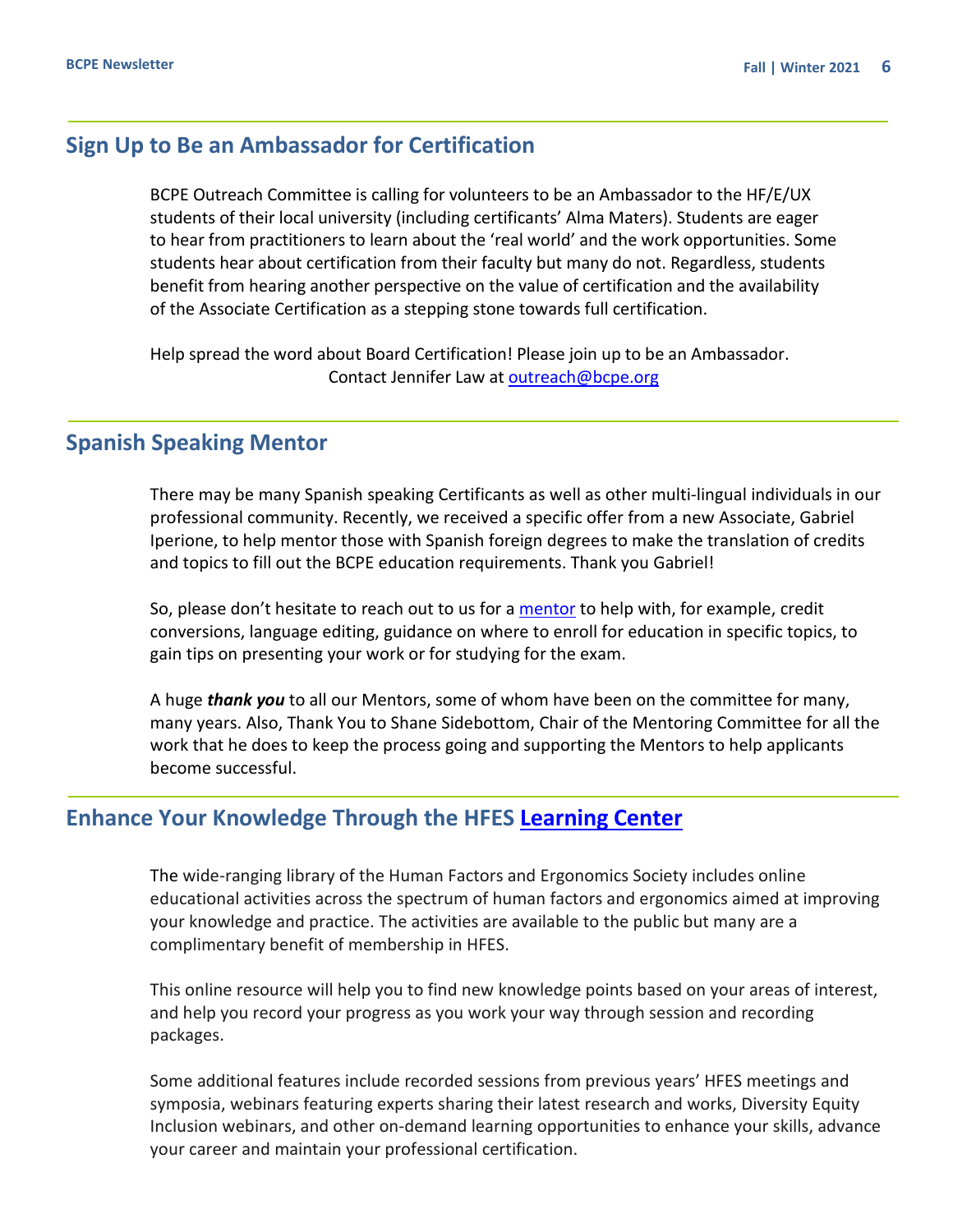# <span id="page-5-0"></span>**Sign Up to Be an Ambassador for Certification**

BCPE Outreach Committee is calling for volunteers to be an Ambassador to the HF/E/UX students of their local university (including certificants' Alma Maters). Students are eager to hear from practitioners to learn about the 'real world' and the work opportunities. Some students hear about certification from their faculty but many do not. Regardless, students benefit from hearing another perspective on the value of certification and the availability of the Associate Certification as a stepping stone towards full certification.

Help spread the word about Board Certification! Please join up to be an Ambassador. Contact Jennifer Law at [outreach@bcpe.org](mailto:outreach@bcpe.org)

# **Spanish Speaking Mentor**

There may be many Spanish speaking Certificants as well as other multi-lingual individuals in our professional community. Recently, we received a specific offer from a new Associate, Gabriel Iperione, to help mentor those with Spanish foreign degrees to make the translation of credits and topics to fill out the BCPE education requirements. Thank you Gabriel!

So, please don't hesitate to reach out to us for a [mentor](https://bcpe.org/mentoring/) to help with, for example, credit conversions, language editing, guidance on where to enroll for education in specific topics, to gain tips on presenting your work or for studying for the exam.

A huge *thank you* to all our Mentors, some of whom have been on the committee for many, many years. Also, Thank You to Shane Sidebottom, Chair of the Mentoring Committee for all the work that he does to keep the process going and supporting the Mentors to help applicants become successful.

## **Enhance Your Knowledge Through the HFES [Learning Center](https://learn.hfes.org/)**

The wide-ranging library of the Human Factors and Ergonomics Society includes online educational activities across the spectrum of human factors and ergonomics aimed at improving your knowledge and practice. The activities are available to the public but many are a complimentary benefit of membership in HFES.

This online resource will help you to find new knowledge points based on your areas of interest, and help you record your progress as you work your way through session and recording packages.

Some additional features include recorded sessions from previous years' HFES meetings and symposia, webinars featuring experts sharing their latest research and works, Diversity Equity Inclusion webinars, and other on-demand learning opportunities to enhance your skills, advance your career and maintain your professional certification.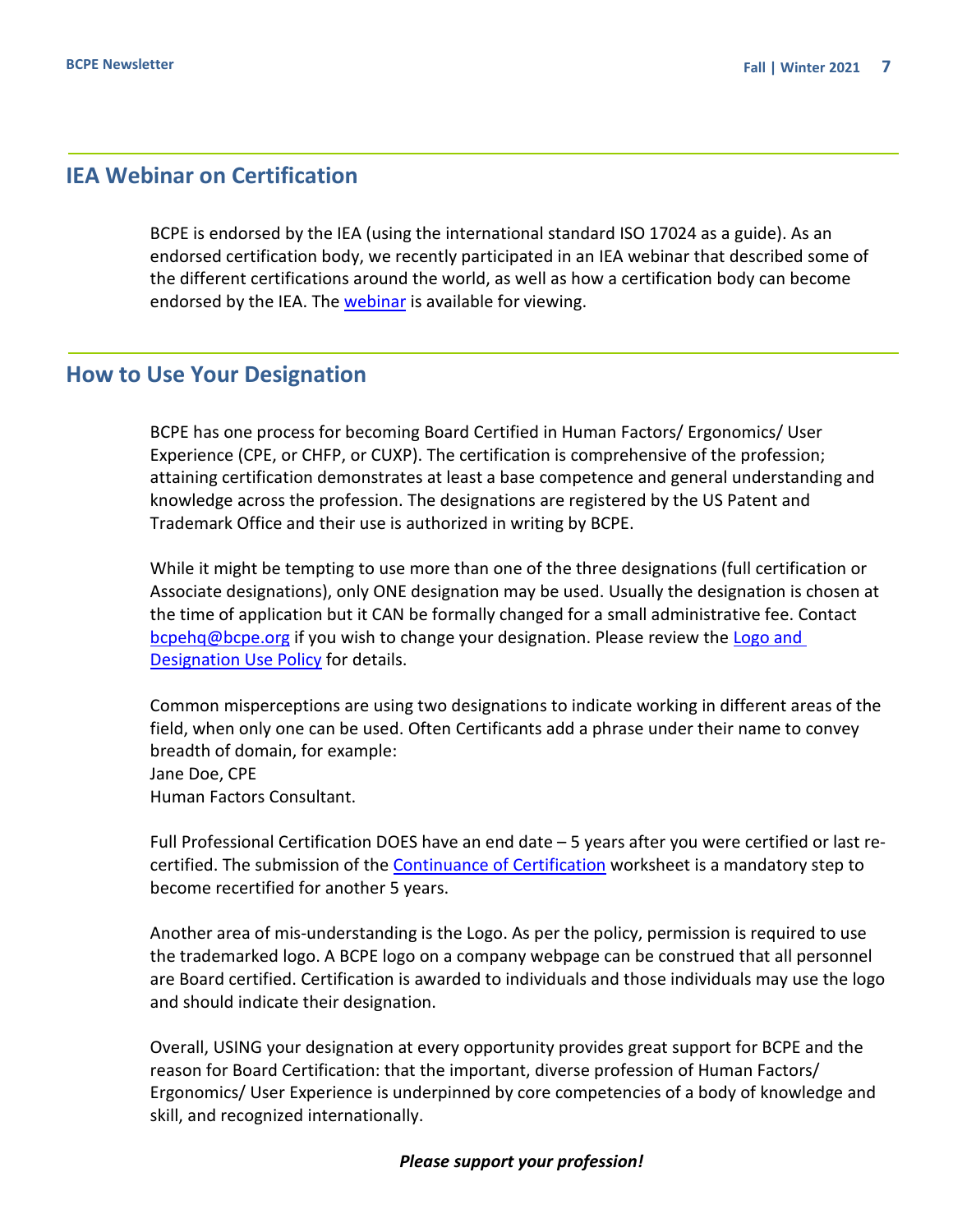# <span id="page-6-0"></span>**IEA Webinar on Certification**

BCPE is endorsed by the IEA (using the international standard ISO 17024 as a guide). As an endorsed certification body, we recently participated in an IEA webinar that described some of the different certifications around the world, as well as how a certification body can become endorsed by the IEA. The [webinar](https://www.youtube.com/watch?v=XtyKUfB4Oy0) is available for viewing.

# **How to Use Your Designation**

BCPE has one process for becoming Board Certified in Human Factors/ Ergonomics/ User Experience (CPE, or CHFP, or CUXP). The certification is comprehensive of the profession; attaining certification demonstrates at least a base competence and general understanding and knowledge across the profession. The designations are registered by the US Patent and Trademark Office and their use is authorized in writing by BCPE.

While it might be tempting to use more than one of the three designations (full certification or Associate designations), only ONE designation may be used. Usually the designation is chosen at the time of application but it CAN be formally changed for a small administrative fee. Contact [bcpehq@bcpe.org](mailto:bcpehq@bcpe.org) if you wish to change your designation. Please review the [Logo and](https://bcpe.org/policies/)  [Designation Use Policy](https://bcpe.org/policies/) for details.

Common misperceptions are using two designations to indicate working in different areas of the field, when only one can be used. Often Certificants add a phrase under their name to convey breadth of domain, for example: Jane Doe, CPE Human Factors Consultant.

Full Professional Certification DOES have an end date – 5 years after you were certified or last recertified. The submission of the [Continuance of Certification](https://bcpe.org/continuance-of-certification/) worksheet is a mandatory step to become recertified for another 5 years.

Another area of mis-understanding is the Logo. As per the policy, permission is required to use the trademarked logo. A BCPE logo on a company webpage can be construed that all personnel are Board certified. Certification is awarded to individuals and those individuals may use the logo and should indicate their designation.

Overall, USING your designation at every opportunity provides great support for BCPE and the reason for Board Certification: that the important, diverse profession of Human Factors/ Ergonomics/ User Experience is underpinned by core competencies of a body of knowledge and skill, and recognized internationally.

#### *Please support your profession!*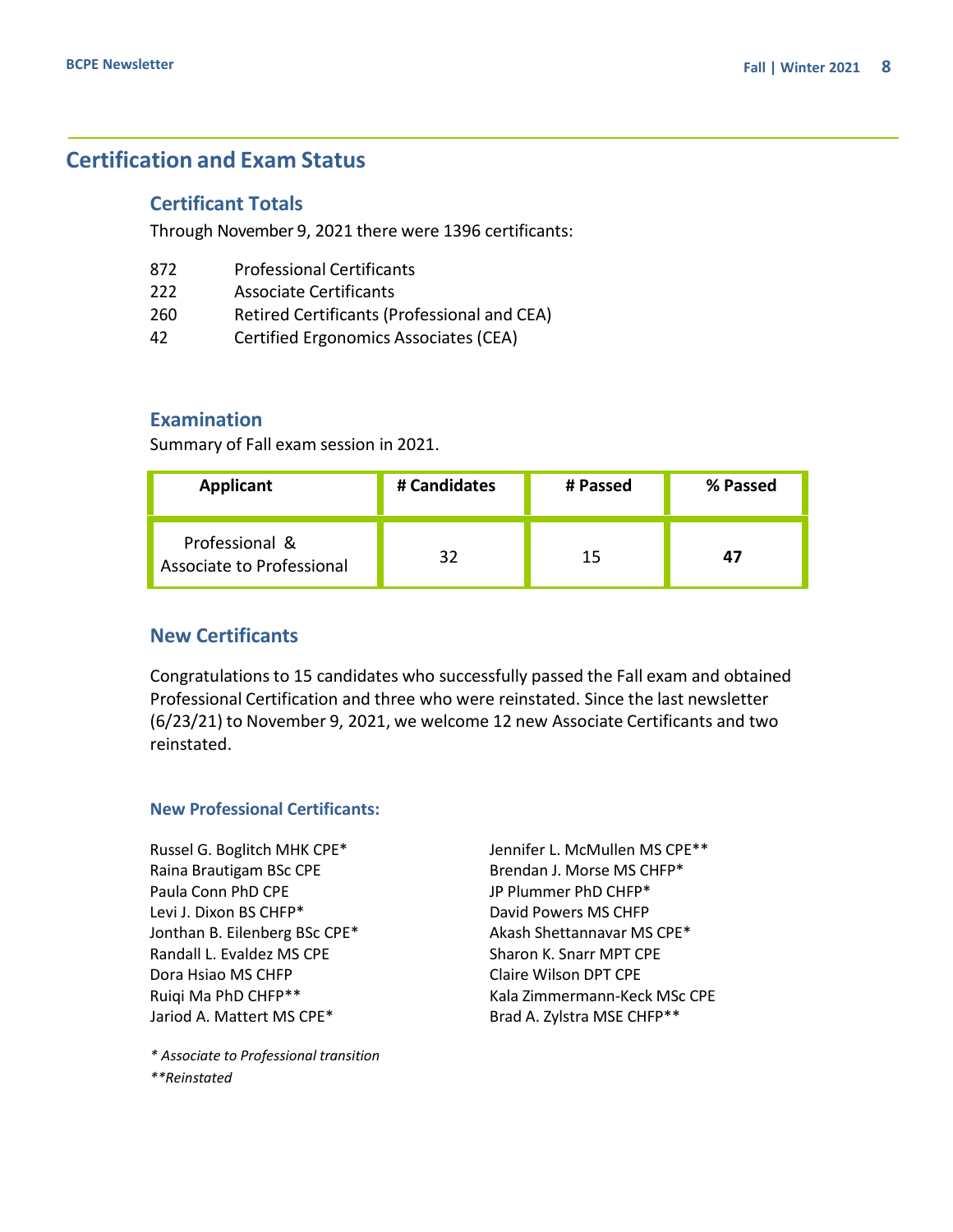# <span id="page-7-0"></span>**Certification and Exam Status**

#### **Certificant Totals**

Through November 9, 2021 there were 1396 certificants:

- 872 Professional Certificants
- 222 Associate Certificants
- 260 Retired Certificants (Professional and CEA)
- 42 Certified Ergonomics Associates (CEA)

## **Examination**

Summary of Fall exam session in 2021.

| Applicant                                   | # Candidates | # Passed | % Passed |
|---------------------------------------------|--------------|----------|----------|
| Professional &<br>Associate to Professional | 32           | 15       | 47       |

## **New Certificants**

Congratulations to 15 candidates who successfully passed the Fall exam and obtained Professional Certification and three who were reinstated. Since the last newsletter (6/23/21) to November 9, 2021, we welcome 12 new Associate Certificants and two reinstated.

#### **New Professional Certificants:**

Russel G. Boglitch MHK CPE\* Raina Brautigam BSc CPE Paula Conn PhD CPE Levi J. Dixon BS CHFP\* Jonthan B. Eilenberg BSc CPE\* Randall L. Evaldez MS CPE Dora Hsiao MS CHFP Ruiqi Ma PhD CHFP\*\* Jariod A. Mattert MS CPE\*

*\* Associate to Professional transition \*\*Reinstated*

Jennifer L. McMullen MS CPE\*\* Brendan J. Morse MS CHFP\* JP Plummer PhD CHFP\* David Powers MS CHFP Akash Shettannavar MS CPE\* Sharon K. Snarr MPT CPE Claire Wilson DPT CPE Kala Zimmermann-Keck MSc CPE Brad A. Zylstra MSE CHFP\*\*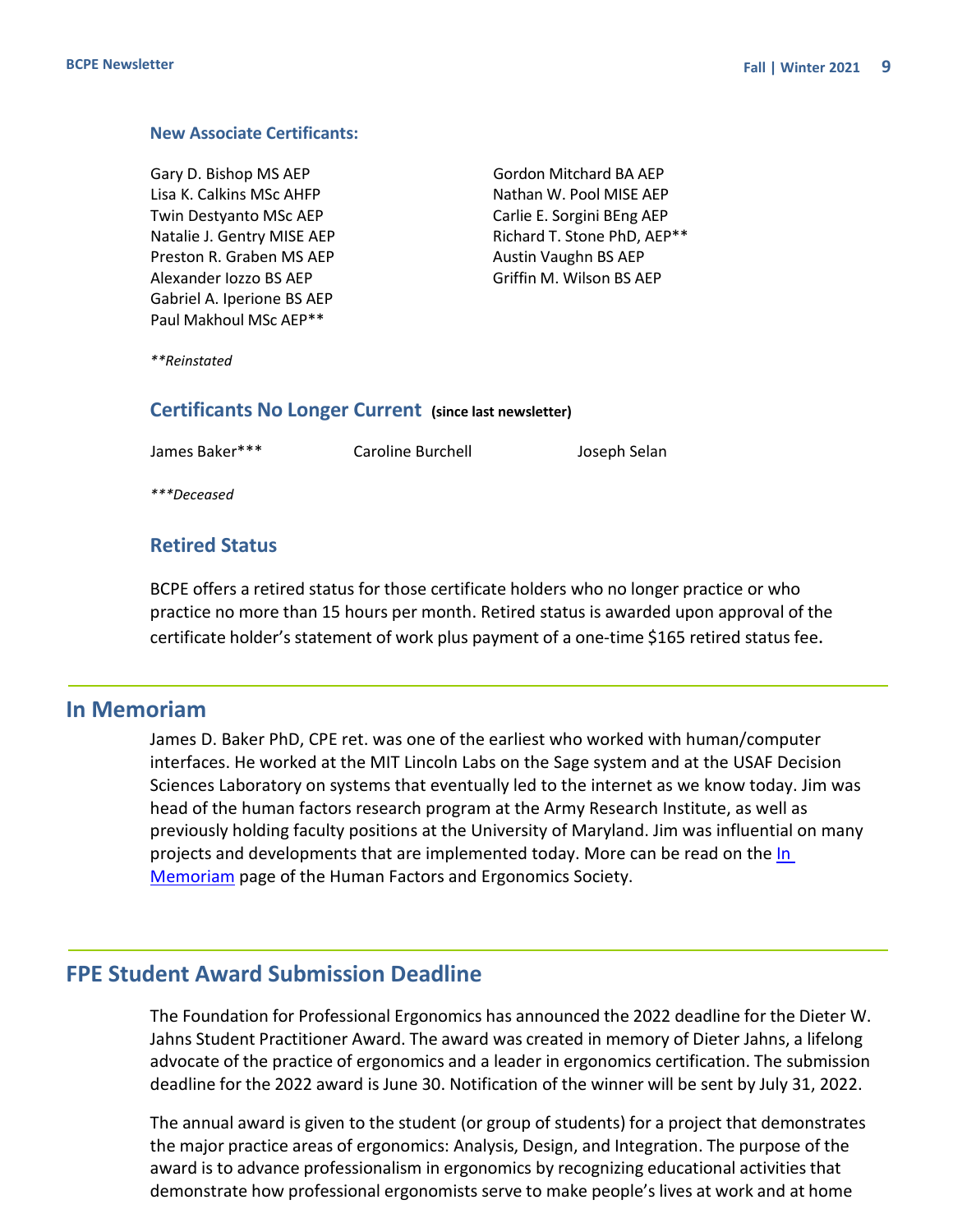#### <span id="page-8-0"></span>**New Associate Certificants:**

Gary D. Bishop MS AEP Lisa K. Calkins MSc AHFP Twin Destyanto MSc AEP Natalie J. Gentry MISE AEP Preston R. Graben MS AEP Alexander Iozzo BS AEP Gabriel A. Iperione BS AEP Paul Makhoul MSc AEP\*\*

Gordon Mitchard BA AEP Nathan W. Pool MISE AEP Carlie E. Sorgini BEng AEP Richard T. Stone PhD, AEP\*\* Austin Vaughn BS AEP Griffin M. Wilson BS AEP

*\*\*Reinstated*

#### **Certificants No Longer Current (since last newsletter)**

James Baker\*\*\* Caroline Burchell Joseph Selan

*\*\*\*Deceased*

#### **Retired Status**

BCPE offers a retired status for those certificate holders who no longer practice or who practice no more than 15 hours per month. Retired status is awarded upon approval of the certificate holder's statement of work plus payment of a one-time \$165 retired status fee.

### **In Memoriam**

James D. Baker PhD, CPE ret. was one of the earliest who worked with human/computer interfaces. He worked at the MIT Lincoln Labs on the Sage system and at the USAF Decision Sciences Laboratory on systems that eventually led to the internet as we know today. Jim was head of the human factors research program at the Army Research Institute, as well as previously holding faculty positions at the University of Maryland. Jim was influential on many projects and developments that are implemented today. More can be read on the In [Memoriam](https://www.hfes.org/HFES-News/in-memoriam-james-d-baker) page of the Human Factors and Ergonomics Society.

## **FPE Student Award Submission Deadline**

The Foundation for Professional Ergonomics has announced the 2022 deadline for the Dieter W. Jahns Student Practitioner Award. The award was created in memory of Dieter Jahns, a lifelong advocate of the practice of ergonomics and a leader in ergonomics certification. The submission deadline for the 2022 award is June 30. Notification of the winner will be sent by July 31, 2022.

The annual award is given to the student (or group of students) for a project that demonstrates the major practice areas of ergonomics: Analysis, Design, and Integration. The purpose of the award is to advance professionalism in ergonomics by recognizing educational activitiesthat demonstrate how professional ergonomists serve to make people's lives at work and at home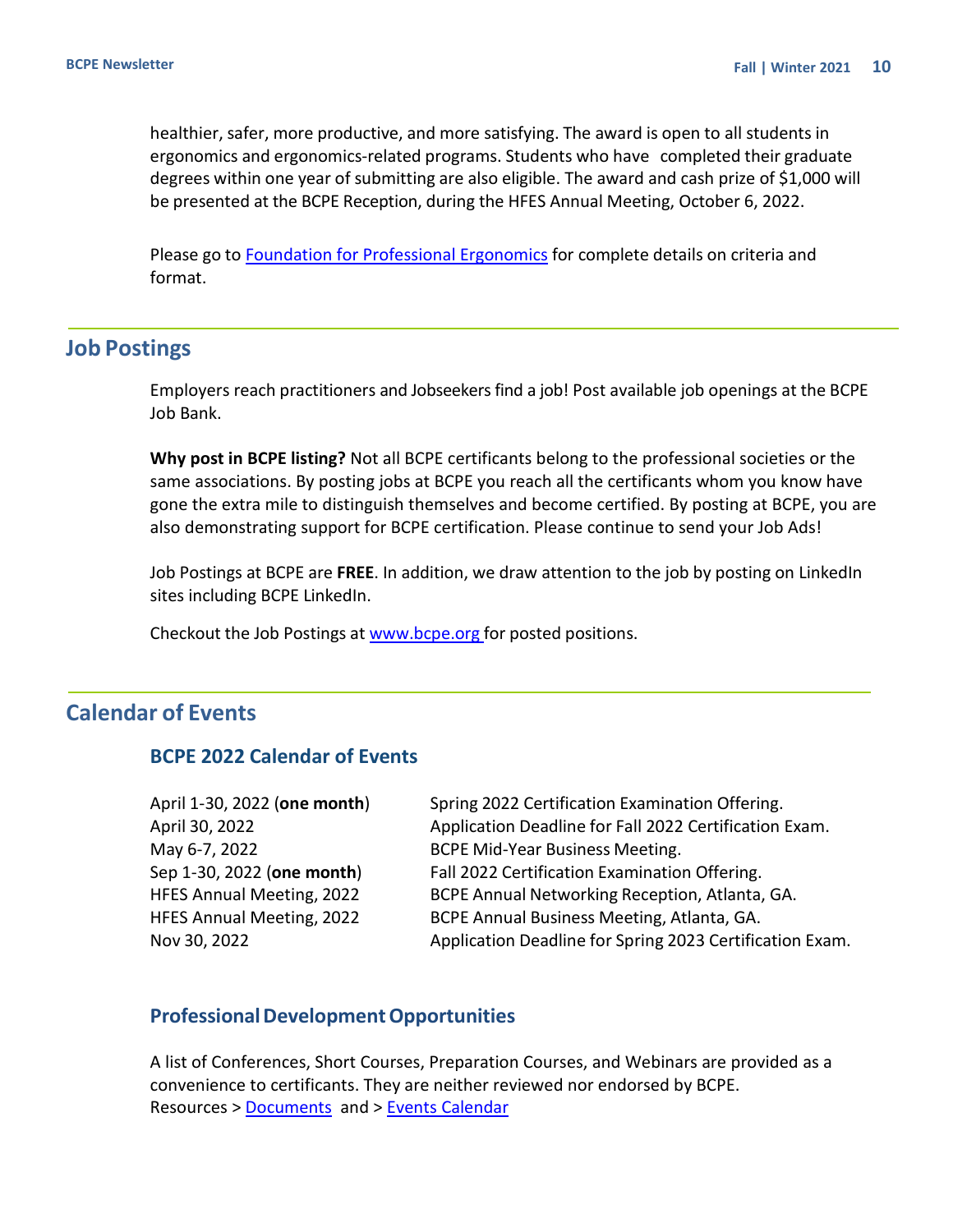<span id="page-9-0"></span>healthier, safer, more productive, and more satisfying. The award is open to all students in ergonomics and ergonomics-related programs. Students who have completed their graduate degrees within one year of submitting are also eligible. The award and cash prize of \$1,000 will be presented at the BCPE Reception, during the HFES Annual Meeting, October 6, 2022.

Please go to [Foundation for Professional Ergonomics](https://www.ergofoundation.org/ergonomics-projects/annual-dieter-w-jahns-student-practitioner-award) for complete details on criteria and format.

## **Job Postings**

Employers reach practitioners and Jobseekers find a job! Post available job openings at the BCPE Job Bank.

**Why post in BCPE listing?** Not all BCPE certificants belong to the professional societies or the same associations. By posting jobs at BCPE you reach all the certificants whom you know have gone the extra mile to distinguish themselves and become certified. By posting at BCPE, you are also demonstrating support for BCPE certification. Please continue to send your Job Ads!

Job Postings at BCPE are **FREE**. In addition, we draw attention to the job by posting on LinkedIn sites including BCPE LinkedIn.

Checkout the Job Postings at [www.bcpe.org](https://bcpe.org/job-postings/) for posted positions.

# **Calendar of Events**

## **BCPE 2022 Calendar of Events**

| April 1-30, 2022 (one month) | Spring 2022 Certification Examination Offering.          |
|------------------------------|----------------------------------------------------------|
| April 30, 2022               | Application Deadline for Fall 2022 Certification Exam.   |
| May 6-7, 2022                | <b>BCPE Mid-Year Business Meeting.</b>                   |
| Sep 1-30, 2022 (one month)   | Fall 2022 Certification Examination Offering.            |
| HFES Annual Meeting, 2022    | BCPE Annual Networking Reception, Atlanta, GA.           |
| HFES Annual Meeting, 2022    | BCPE Annual Business Meeting, Atlanta, GA.               |
| Nov 30, 2022                 | Application Deadline for Spring 2023 Certification Exam. |

#### **ProfessionalDevelopmentOpportunities**

A list of Conferences, Short Courses, Preparation Courses, and Webinars are provided as a convenience to certificants. They are neither reviewed nor endorsed by BCPE. Resources [> Documents](https://bcpe.org/downloads/) and > [Events Calendar](https://bcpe.org/events/)